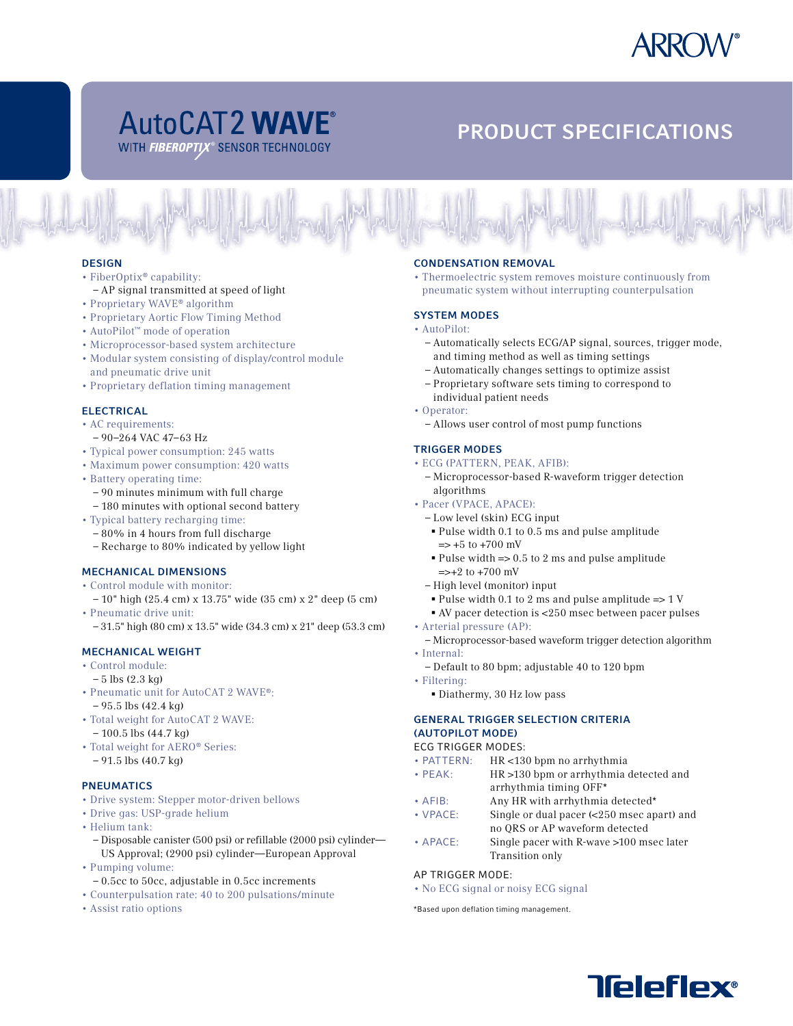

# AUTOCAT2 WAVE PRODUCT SPECIFICATIONS

### **DESIGN**

# • FiberOptix® capability:

- AP signal transmitted at speed of light
- Proprietary WAVE® algorithm
- Proprietary Aortic Flow Timing Method
- AutoPilot™ mode of operation
- Microprocessor-based system architecture
- Modular system consisting of display/control module and pneumatic drive unit
- Proprietary deflation timing management

# **ELECTRICAL**

- AC requirements: – 90–264 VAC 47–63 Hz
- Typical power consumption: 245 watts
- Maximum power consumption: 420 watts
- Battery operating time: – 90 minutes minimum with full charge – 180 minutes with optional second battery
- Typical battery recharging time:
- 80% in 4 hours from full discharge
- Recharge to 80% indicated by yellow light

# Mechanical Dimensions

- Control module with monitor:
- 10" high (25.4 cm) x 13.75" wide (35 cm) x 2" deep (5 cm) • Pneumatic drive unit:
- 31.5" high (80 cm) x 13.5" wide (34.3 cm) x 21" deep (53.3 cm)

# Mechanical Weight

- Control module:
- $-5$  lbs  $(2.3 \text{ kg})$
- Pneumatic unit for AutoCAT 2 WAVE®: – 95.5 lbs (42.4 kg)
- Total weight for AutoCAT 2 WAVE:
- 100.5 lbs (44.7 kg) • Total weight for AERO® Series:
- 91.5 lbs (40.7 kg)

# **PNEUMATICS**

- Drive system: Stepper motor-driven bellows
- Drive gas: USP-grade helium
- Helium tank:
- Disposable canister (500 psi) or refillable (2000 psi) cylinder— US Approval; (2900 psi) cylinder—European Approval
- Pumping volume:
- 0.5cc to 50cc, adjustable in 0.5cc increments
- Counterpulsation rate: 40 to 200 pulsations/minute
- Assist ratio options

# Condensation Removal

• Thermoelectric system removes moisture continuously from pneumatic system without interrupting counterpulsation

# System Modes

- AutoPilot:
	- Automatically selects ECG/AP signal, sources, trigger mode, and timing method as well as timing settings
	- Automatically changes settings to optimize assist
	- Proprietary software sets timing to correspond to individual patient needs
- Operator:
- Allows user control of most pump functions

# Trigger Modes

- ECG (PATTERN, PEAK, AFIB):
- Microprocessor-based R-waveform trigger detection algorithms
- Pacer (VPACE, APACE):
	- Low level (skin) ECG input
	- § Pulse width 0.1 to 0.5 ms and pulse amplitude  $\Rightarrow$  +5 to +700 mV
	- $\blacktriangleright$  Pulse width  $\blacktriangleright$  0.5 to 2 ms and pulse amplitude  $\Rightarrow$  +2 to +700 mV
	- High level (monitor) input
	- § Pulse width 0.1 to 2 ms and pulse amplitude => 1 V
	- § AV pacer detection is <250 msec between pacer pulses
- Arterial pressure (AP):
	- Microprocessor-based waveform trigger detection algorithm
- Internal:
- Default to 80 bpm; adjustable 40 to 120 bpm
- Filtering:
	- § Diathermy, 30 Hz low pass

# General Trigger Selection Criteria (AutoPilot Mode)

# ECG TRIGGER MODES:

- PATTERN: HR <130 bpm no arrhythmia
- PEAK: HR >130 bpm or arrhythmia detected and arrhythmia timing OFF\*
- AFIB: Any HR with arrhythmia detected\*<br>• VPACE: Single or dual pacer (<250 msec ap
- Single or dual pacer  $\langle$  <250 msec apart) and no QRS or AP waveform detected
- APACE: Single pacer with R-wave >100 msec later Transition only

#### AP TRIGGER MODE:

• No ECG signal or noisy ECG signal

\*Based upon deflation timing management.